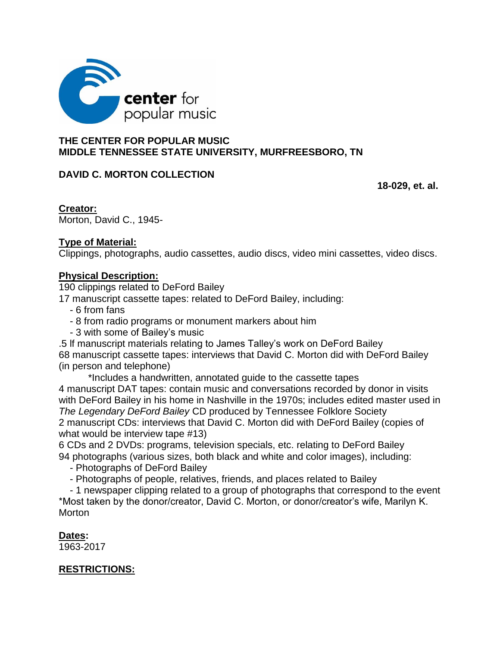

## **THE CENTER FOR POPULAR MUSIC MIDDLE TENNESSEE STATE UNIVERSITY, MURFREESBORO, TN**

# **DAVID C. MORTON COLLECTION**

 **18-029, et. al.** 

**Creator:** Morton, David C., 1945-

# **Type of Material:**

Clippings, photographs, audio cassettes, audio discs, video mini cassettes, video discs.

# **Physical Description:**

190 clippings related to DeFord Bailey

17 manuscript cassette tapes: related to DeFord Bailey, including:

- 6 from fans
- 8 from radio programs or monument markers about him
- 3 with some of Bailey's music

.5 lf manuscript materials relating to James Talley's work on DeFord Bailey 68 manuscript cassette tapes: interviews that David C. Morton did with DeFord Bailey (in person and telephone)

\*Includes a handwritten, annotated guide to the cassette tapes

4 manuscript DAT tapes: contain music and conversations recorded by donor in visits with DeFord Bailey in his home in Nashville in the 1970s; includes edited master used in *The Legendary DeFord Bailey* CD produced by Tennessee Folklore Society 2 manuscript CDs: interviews that David C. Morton did with DeFord Bailey (copies of what would be interview tape #13)

6 CDs and 2 DVDs: programs, television specials, etc. relating to DeFord Bailey 94 photographs (various sizes, both black and white and color images), including:

- Photographs of DeFord Bailey
- Photographs of people, relatives, friends, and places related to Bailey

- 1 newspaper clipping related to a group of photographs that correspond to the event \*Most taken by the donor/creator, David C. Morton, or donor/creator's wife, Marilyn K. **Morton** 

**Dates:** 

1963-2017

# **RESTRICTIONS:**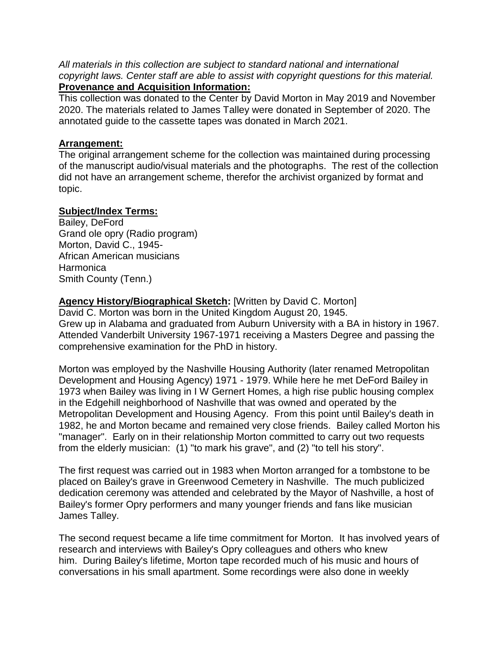*All materials in this collection are subject to standard national and international copyright laws. Center staff are able to assist with copyright questions for this material.* 

## **Provenance and Acquisition Information:**

This collection was donated to the Center by David Morton in May 2019 and November 2020. The materials related to James Talley were donated in September of 2020. The annotated guide to the cassette tapes was donated in March 2021.

#### **Arrangement:**

The original arrangement scheme for the collection was maintained during processing of the manuscript audio/visual materials and the photographs. The rest of the collection did not have an arrangement scheme, therefor the archivist organized by format and topic.

## **Subject/Index Terms:**

Bailey, DeFord Grand ole opry (Radio program) Morton, David C., 1945- African American musicians **Harmonica** Smith County (Tenn.)

# **Agency History/Biographical Sketch:** [Written by David C. Morton]

David C. Morton was born in the United Kingdom August 20, 1945. Grew up in Alabama and graduated from Auburn University with a BA in history in 1967. Attended Vanderbilt University 1967-1971 receiving a Masters Degree and passing the comprehensive examination for the PhD in history.

Morton was employed by the Nashville Housing Authority (later renamed Metropolitan Development and Housing Agency) 1971 - 1979. While here he met DeFord Bailey in 1973 when Bailey was living in I W Gernert Homes, a high rise public housing complex in the Edgehill neighborhood of Nashville that was owned and operated by the Metropolitan Development and Housing Agency. From this point until Bailey's death in 1982, he and Morton became and remained very close friends. Bailey called Morton his "manager". Early on in their relationship Morton committed to carry out two requests from the elderly musician: (1) "to mark his grave", and (2) "to tell his story".

The first request was carried out in 1983 when Morton arranged for a tombstone to be placed on Bailey's grave in Greenwood Cemetery in Nashville. The much publicized dedication ceremony was attended and celebrated by the Mayor of Nashville, a host of Bailey's former Opry performers and many younger friends and fans like musician James Talley.

The second request became a life time commitment for Morton. It has involved years of research and interviews with Bailey's Opry colleagues and others who knew him. During Bailey's lifetime, Morton tape recorded much of his music and hours of conversations in his small apartment. Some recordings were also done in weekly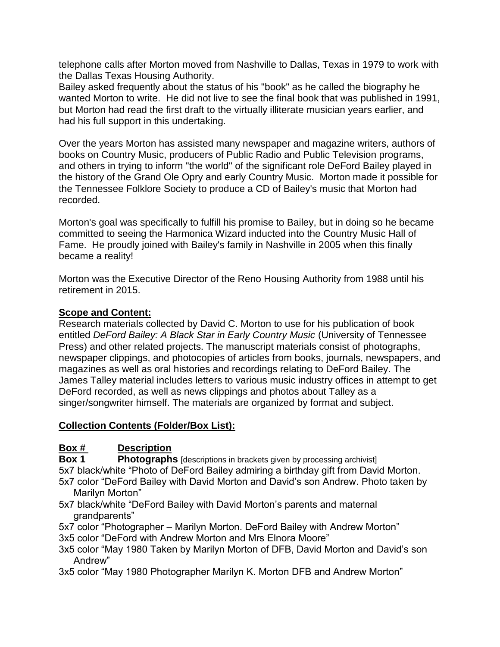telephone calls after Morton moved from Nashville to Dallas, Texas in 1979 to work with the Dallas Texas Housing Authority.

Bailey asked frequently about the status of his "book" as he called the biography he wanted Morton to write. He did not live to see the final book that was published in 1991, but Morton had read the first draft to the virtually illiterate musician years earlier, and had his full support in this undertaking.

Over the years Morton has assisted many newspaper and magazine writers, authors of books on Country Music, producers of Public Radio and Public Television programs, and others in trying to inform "the world" of the significant role DeFord Bailey played in the history of the Grand Ole Opry and early Country Music. Morton made it possible for the Tennessee Folklore Society to produce a CD of Bailey's music that Morton had recorded.

Morton's goal was specifically to fulfill his promise to Bailey, but in doing so he became committed to seeing the Harmonica Wizard inducted into the Country Music Hall of Fame. He proudly joined with Bailey's family in Nashville in 2005 when this finally became a reality!

Morton was the Executive Director of the Reno Housing Authority from 1988 until his retirement in 2015.

#### **Scope and Content:**

Research materials collected by David C. Morton to use for his publication of book entitled *DeFord Bailey: A Black Star in Early Country Music* (University of Tennessee Press) and other related projects. The manuscript materials consist of photographs, newspaper clippings, and photocopies of articles from books, journals, newspapers, and magazines as well as oral histories and recordings relating to DeFord Bailey. The James Talley material includes letters to various music industry offices in attempt to get DeFord recorded, as well as news clippings and photos about Talley as a singer/songwriter himself. The materials are organized by format and subject.

#### **Collection Contents (Folder/Box List):**

## **Box # Description**

**Box 1 Photographs** [descriptions in brackets given by processing archivist]

5x7 black/white "Photo of DeFord Bailey admiring a birthday gift from David Morton. 5x7 color "DeFord Bailey with David Morton and David's son Andrew. Photo taken by Marilyn Morton"

5x7 black/white "DeFord Bailey with David Morton's parents and maternal grandparents"

5x7 color "Photographer – Marilyn Morton. DeFord Bailey with Andrew Morton"

3x5 color "DeFord with Andrew Morton and Mrs Elnora Moore"

3x5 color "May 1980 Taken by Marilyn Morton of DFB, David Morton and David's son Andrew"

3x5 color "May 1980 Photographer Marilyn K. Morton DFB and Andrew Morton"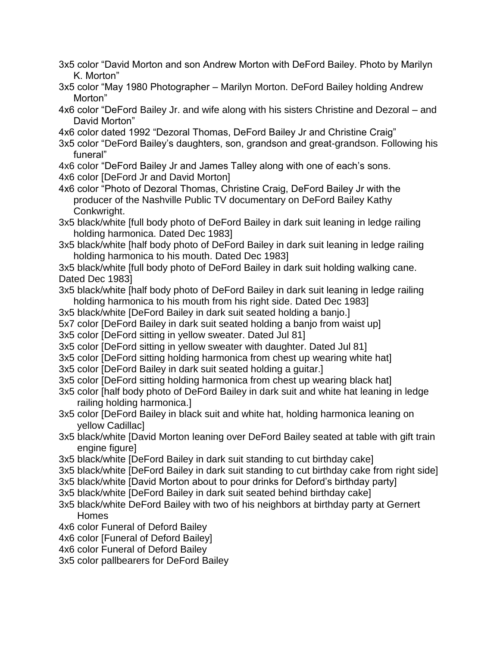3x5 color "David Morton and son Andrew Morton with DeFord Bailey. Photo by Marilyn K. Morton"

- 3x5 color "May 1980 Photographer Marilyn Morton. DeFord Bailey holding Andrew Morton"
- 4x6 color "DeFord Bailey Jr. and wife along with his sisters Christine and Dezoral and David Morton"
- 4x6 color dated 1992 "Dezoral Thomas, DeFord Bailey Jr and Christine Craig"
- 3x5 color "DeFord Bailey's daughters, son, grandson and great-grandson. Following his funeral"
- 4x6 color "DeFord Bailey Jr and James Talley along with one of each's sons. 4x6 color [DeFord Jr and David Morton]
- 4x6 color "Photo of Dezoral Thomas, Christine Craig, DeFord Bailey Jr with the producer of the Nashville Public TV documentary on DeFord Bailey Kathy Conkwright.
- 3x5 black/white [full body photo of DeFord Bailey in dark suit leaning in ledge railing holding harmonica. Dated Dec 1983]
- 3x5 black/white [half body photo of DeFord Bailey in dark suit leaning in ledge railing holding harmonica to his mouth. Dated Dec 1983]

3x5 black/white [full body photo of DeFord Bailey in dark suit holding walking cane. Dated Dec 1983]

- 3x5 black/white [half body photo of DeFord Bailey in dark suit leaning in ledge railing holding harmonica to his mouth from his right side. Dated Dec 1983]
- 3x5 black/white [DeFord Bailey in dark suit seated holding a banjo.]
- 5x7 color [DeFord Bailey in dark suit seated holding a banjo from waist up]
- 3x5 color [DeFord sitting in yellow sweater. Dated Jul 81]
- 3x5 color [DeFord sitting in yellow sweater with daughter. Dated Jul 81]
- 3x5 color [DeFord sitting holding harmonica from chest up wearing white hat]
- 3x5 color [DeFord Bailey in dark suit seated holding a guitar.]
- 3x5 color [DeFord sitting holding harmonica from chest up wearing black hat]
- 3x5 color [half body photo of DeFord Bailey in dark suit and white hat leaning in ledge railing holding harmonica.]
- 3x5 color [DeFord Bailey in black suit and white hat, holding harmonica leaning on yellow Cadillac]
- 3x5 black/white [David Morton leaning over DeFord Bailey seated at table with gift train engine figure]
- 3x5 black/white [DeFord Bailey in dark suit standing to cut birthday cake]
- 3x5 black/white [DeFord Bailey in dark suit standing to cut birthday cake from right side]
- 3x5 black/white [David Morton about to pour drinks for Deford's birthday party]
- 3x5 black/white [DeFord Bailey in dark suit seated behind birthday cake]
- 3x5 black/white DeFord Bailey with two of his neighbors at birthday party at Gernert Homes
- 4x6 color Funeral of Deford Bailey
- 4x6 color [Funeral of Deford Bailey]
- 4x6 color Funeral of Deford Bailey
- 3x5 color pallbearers for DeFord Bailey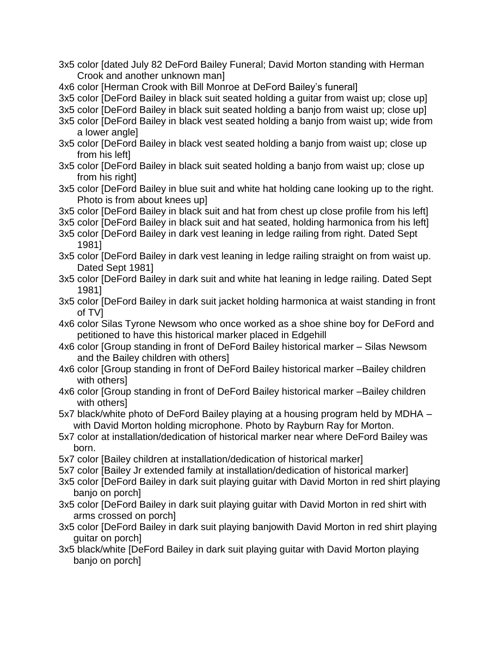- 3x5 color [dated July 82 DeFord Bailey Funeral; David Morton standing with Herman Crook and another unknown man]
- 4x6 color [Herman Crook with Bill Monroe at DeFord Bailey's funeral]
- 3x5 color [DeFord Bailey in black suit seated holding a guitar from waist up; close up]
- 3x5 color [DeFord Bailey in black suit seated holding a banjo from waist up; close up]
- 3x5 color [DeFord Bailey in black vest seated holding a banjo from waist up; wide from a lower angle]
- 3x5 color [DeFord Bailey in black vest seated holding a banjo from waist up; close up from his left]
- 3x5 color [DeFord Bailey in black suit seated holding a banjo from waist up; close up from his right]
- 3x5 color [DeFord Bailey in blue suit and white hat holding cane looking up to the right. Photo is from about knees up]
- 3x5 color [DeFord Bailey in black suit and hat from chest up close profile from his left]
- 3x5 color [DeFord Bailey in black suit and hat seated, holding harmonica from his left]
- 3x5 color [DeFord Bailey in dark vest leaning in ledge railing from right. Dated Sept 1981]
- 3x5 color [DeFord Bailey in dark vest leaning in ledge railing straight on from waist up. Dated Sept 1981]
- 3x5 color [DeFord Bailey in dark suit and white hat leaning in ledge railing. Dated Sept 1981]
- 3x5 color [DeFord Bailey in dark suit jacket holding harmonica at waist standing in front of TV]
- 4x6 color Silas Tyrone Newsom who once worked as a shoe shine boy for DeFord and petitioned to have this historical marker placed in Edgehill
- 4x6 color [Group standing in front of DeFord Bailey historical marker Silas Newsom and the Bailey children with others]
- 4x6 color [Group standing in front of DeFord Bailey historical marker –Bailey children with others]
- 4x6 color [Group standing in front of DeFord Bailey historical marker –Bailey children with others1
- 5x7 black/white photo of DeFord Bailey playing at a housing program held by MDHA with David Morton holding microphone. Photo by Rayburn Ray for Morton.
- 5x7 color at installation/dedication of historical marker near where DeFord Bailey was born.
- 5x7 color [Bailey children at installation/dedication of historical marker]
- 5x7 color [Bailey Jr extended family at installation/dedication of historical marker]
- 3x5 color [DeFord Bailey in dark suit playing guitar with David Morton in red shirt playing banjo on porch]
- 3x5 color [DeFord Bailey in dark suit playing guitar with David Morton in red shirt with arms crossed on porch]
- 3x5 color [DeFord Bailey in dark suit playing banjowith David Morton in red shirt playing guitar on porch]
- 3x5 black/white [DeFord Bailey in dark suit playing guitar with David Morton playing banjo on porch]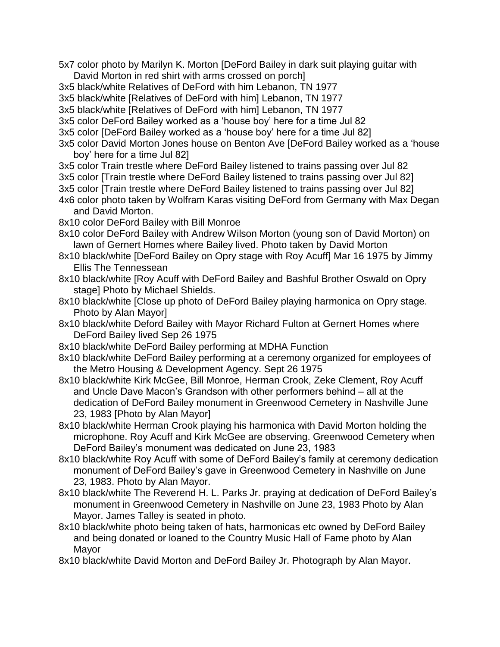- 5x7 color photo by Marilyn K. Morton [DeFord Bailey in dark suit playing guitar with David Morton in red shirt with arms crossed on porch]
- 3x5 black/white Relatives of DeFord with him Lebanon, TN 1977
- 3x5 black/white [Relatives of DeFord with him] Lebanon, TN 1977
- 3x5 black/white [Relatives of DeFord with him] Lebanon, TN 1977
- 3x5 color DeFord Bailey worked as a 'house boy' here for a time Jul 82
- 3x5 color [DeFord Bailey worked as a 'house boy' here for a time Jul 82]
- 3x5 color David Morton Jones house on Benton Ave [DeFord Bailey worked as a 'house boy' here for a time Jul 82]
- 3x5 color Train trestle where DeFord Bailey listened to trains passing over Jul 82
- 3x5 color [Train trestle where DeFord Bailey listened to trains passing over Jul 82]
- 3x5 color [Train trestle where DeFord Bailey listened to trains passing over Jul 82]
- 4x6 color photo taken by Wolfram Karas visiting DeFord from Germany with Max Degan and David Morton.
- 8x10 color DeFord Bailey with Bill Monroe
- 8x10 color DeFord Bailey with Andrew Wilson Morton (young son of David Morton) on lawn of Gernert Homes where Bailey lived. Photo taken by David Morton
- 8x10 black/white [DeFord Bailey on Opry stage with Roy Acuff] Mar 16 1975 by Jimmy Ellis The Tennessean
- 8x10 black/white [Roy Acuff with DeFord Bailey and Bashful Brother Oswald on Opry stage] Photo by Michael Shields.
- 8x10 black/white [Close up photo of DeFord Bailey playing harmonica on Opry stage. Photo by Alan Mayor]
- 8x10 black/white Deford Bailey with Mayor Richard Fulton at Gernert Homes where DeFord Bailey lived Sep 26 1975
- 8x10 black/white DeFord Bailey performing at MDHA Function
- 8x10 black/white DeFord Bailey performing at a ceremony organized for employees of the Metro Housing & Development Agency. Sept 26 1975
- 8x10 black/white Kirk McGee, Bill Monroe, Herman Crook, Zeke Clement, Roy Acuff and Uncle Dave Macon's Grandson with other performers behind – all at the dedication of DeFord Bailey monument in Greenwood Cemetery in Nashville June 23, 1983 [Photo by Alan Mayor]
- 8x10 black/white Herman Crook playing his harmonica with David Morton holding the microphone. Roy Acuff and Kirk McGee are observing. Greenwood Cemetery when DeFord Bailey's monument was dedicated on June 23, 1983
- 8x10 black/white Roy Acuff with some of DeFord Bailey's family at ceremony dedication monument of DeFord Bailey's gave in Greenwood Cemetery in Nashville on June 23, 1983. Photo by Alan Mayor.
- 8x10 black/white The Reverend H. L. Parks Jr. praying at dedication of DeFord Bailey's monument in Greenwood Cemetery in Nashville on June 23, 1983 Photo by Alan Mayor. James Talley is seated in photo.
- 8x10 black/white photo being taken of hats, harmonicas etc owned by DeFord Bailey and being donated or loaned to the Country Music Hall of Fame photo by Alan Mayor
- 8x10 black/white David Morton and DeFord Bailey Jr. Photograph by Alan Mayor.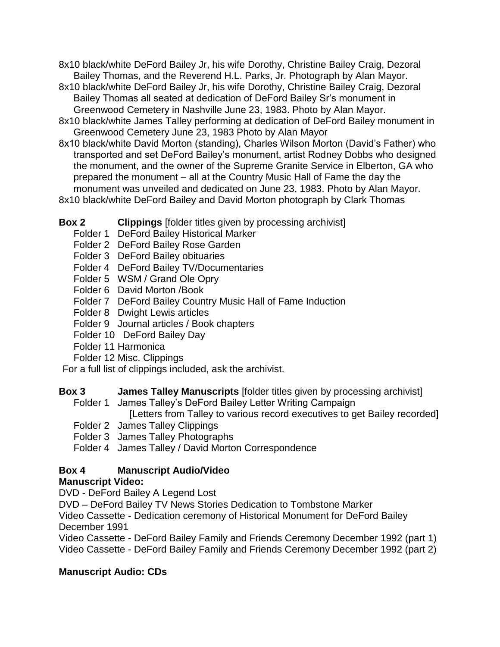- 8x10 black/white DeFord Bailey Jr, his wife Dorothy, Christine Bailey Craig, Dezoral Bailey Thomas, and the Reverend H.L. Parks, Jr. Photograph by Alan Mayor.
- 8x10 black/white DeFord Bailey Jr, his wife Dorothy, Christine Bailey Craig, Dezoral Bailey Thomas all seated at dedication of DeFord Bailey Sr's monument in Greenwood Cemetery in Nashville June 23, 1983. Photo by Alan Mayor.
- 8x10 black/white James Talley performing at dedication of DeFord Bailey monument in Greenwood Cemetery June 23, 1983 Photo by Alan Mayor
- 8x10 black/white David Morton (standing), Charles Wilson Morton (David's Father) who transported and set DeFord Bailey's monument, artist Rodney Dobbs who designed the monument, and the owner of the Supreme Granite Service in Elberton, GA who prepared the monument – all at the Country Music Hall of Fame the day the monument was unveiled and dedicated on June 23, 1983. Photo by Alan Mayor.

8x10 black/white DeFord Bailey and David Morton photograph by Clark Thomas

# **Box 2 Clippings** [folder titles given by processing archivist]

- Folder 1 DeFord Bailey Historical Marker
- Folder 2 DeFord Bailey Rose Garden
- Folder 3 DeFord Bailey obituaries
- Folder 4 DeFord Bailey TV/Documentaries
- Folder 5 WSM / Grand Ole Opry
- Folder 6 David Morton /Book
- Folder 7 DeFord Bailey Country Music Hall of Fame Induction
- Folder 8 Dwight Lewis articles
- Folder 9 Journal articles / Book chapters
- Folder 10 DeFord Bailey Day
- Folder 11 Harmonica
- Folder 12 Misc. Clippings

For a full list of clippings included, ask the archivist.

- **Box 3 James Talley Manuscripts** [folder titles given by processing archivist]
	- Folder 1 James Talley's DeFord Bailey Letter Writing Campaign

[Letters from Talley to various record executives to get Bailey recorded]

- Folder 2 James Talley Clippings
- Folder 3 James Talley Photographs

Folder 4 James Talley / David Morton Correspondence

# **Box 4 Manuscript Audio/Video**

# **Manuscript Video:**

DVD - DeFord Bailey A Legend Lost

DVD – DeFord Bailey TV News Stories Dedication to Tombstone Marker

Video Cassette - Dedication ceremony of Historical Monument for DeFord Bailey December 1991

Video Cassette - DeFord Bailey Family and Friends Ceremony December 1992 (part 1) Video Cassette - DeFord Bailey Family and Friends Ceremony December 1992 (part 2)

# **Manuscript Audio: CDs**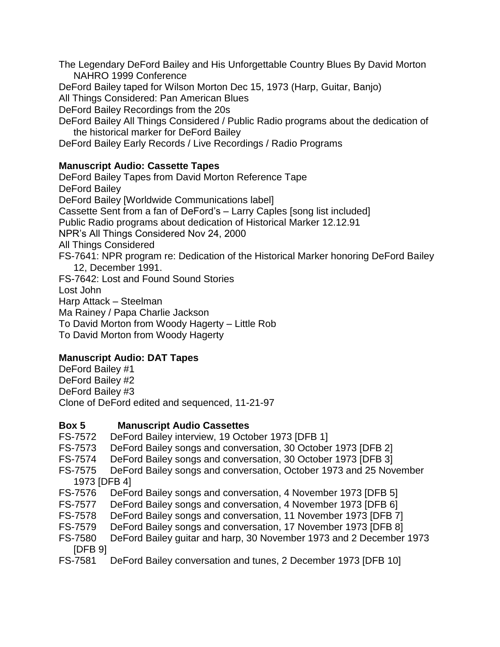The Legendary DeFord Bailey and His Unforgettable Country Blues By David Morton NAHRO 1999 Conference

DeFord Bailey taped for Wilson Morton Dec 15, 1973 (Harp, Guitar, Banjo)

All Things Considered: Pan American Blues

DeFord Bailey Recordings from the 20s

DeFord Bailey All Things Considered / Public Radio programs about the dedication of the historical marker for DeFord Bailey

DeFord Bailey Early Records / Live Recordings / Radio Programs

# **Manuscript Audio: Cassette Tapes**

DeFord Bailey Tapes from David Morton Reference Tape DeFord Bailey DeFord Bailey [Worldwide Communications label] Cassette Sent from a fan of DeFord's – Larry Caples [song list included] Public Radio programs about dedication of Historical Marker 12.12.91 NPR's All Things Considered Nov 24, 2000 All Things Considered FS-7641: NPR program re: Dedication of the Historical Marker honoring DeFord Bailey 12, December 1991. FS-7642: Lost and Found Sound Stories Lost John Harp Attack – Steelman Ma Rainey / Papa Charlie Jackson To David Morton from Woody Hagerty – Little Rob To David Morton from Woody Hagerty

# **Manuscript Audio: DAT Tapes**

DeFord Bailey #1 DeFord Bailey #2 DeFord Bailey #3 Clone of DeFord edited and sequenced, 11-21-97

## **Box 5 Manuscript Audio Cassettes**

- FS-7572 DeFord Bailey interview, 19 October 1973 [DFB 1]
- FS-7573 DeFord Bailey songs and conversation, 30 October 1973 [DFB 2]
- FS-7574 DeFord Bailey songs and conversation, 30 October 1973 [DFB 3]
- FS-7575 DeFord Bailey songs and conversation, October 1973 and 25 November 1973 [DFB 4]
- FS-7576 DeFord Bailey songs and conversation, 4 November 1973 [DFB 5]
- FS-7577 DeFord Bailey songs and conversation, 4 November 1973 [DFB 6]
- FS-7578 DeFord Bailey songs and conversation, 11 November 1973 [DFB 7]
- FS-7579 DeFord Bailey songs and conversation, 17 November 1973 [DFB 8]
- FS-7580 DeFord Bailey guitar and harp, 30 November 1973 and 2 December 1973 [DFB 9]
- FS-7581 DeFord Bailey conversation and tunes, 2 December 1973 [DFB 10]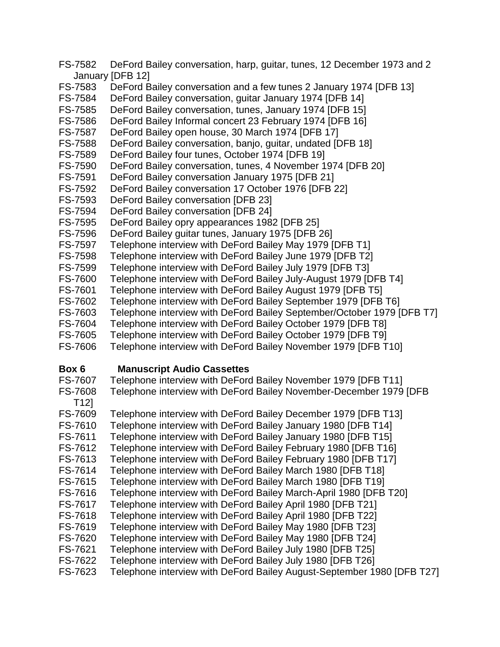FS-7582 DeFord Bailey conversation, harp, guitar, tunes, 12 December 1973 and 2 January [DFB 12]

- FS-7583 DeFord Bailey conversation and a few tunes 2 January 1974 [DFB 13]
- FS-7584 DeFord Bailey conversation, guitar January 1974 [DFB 14]
- FS-7585 DeFord Bailey conversation, tunes, January 1974 [DFB 15]
- FS-7586 DeFord Bailey Informal concert 23 February 1974 [DFB 16]
- FS-7587 DeFord Bailey open house, 30 March 1974 [DFB 17]
- FS-7588 DeFord Bailey conversation, banjo, guitar, undated [DFB 18]
- FS-7589 DeFord Bailey four tunes, October 1974 [DFB 19]
- FS-7590 DeFord Bailey conversation, tunes, 4 November 1974 [DFB 20]
- FS-7591 DeFord Bailey conversation January 1975 [DFB 21]
- FS-7592 DeFord Bailey conversation 17 October 1976 [DFB 22]
- FS-7593 DeFord Bailey conversation [DFB 23]
- FS-7594 DeFord Bailey conversation [DFB 24]
- FS-7595 DeFord Bailey opry appearances 1982 [DFB 25]
- FS-7596 DeFord Bailey guitar tunes, January 1975 [DFB 26]
- FS-7597 Telephone interview with DeFord Bailey May 1979 [DFB T1]
- FS-7598 Telephone interview with DeFord Bailey June 1979 [DFB T2]
- FS-7599 Telephone interview with DeFord Bailey July 1979 [DFB T3]
- FS-7600 Telephone interview with DeFord Bailey July-August 1979 [DFB T4]
- FS-7601 Telephone interview with DeFord Bailey August 1979 [DFB T5]
- FS-7602 Telephone interview with DeFord Bailey September 1979 [DFB T6]
- FS-7603 Telephone interview with DeFord Bailey September/October 1979 [DFB T7]
- FS-7604 Telephone interview with DeFord Bailey October 1979 [DFB T8]
- FS-7605 Telephone interview with DeFord Bailey October 1979 [DFB T9]
- FS-7606 Telephone interview with DeFord Bailey November 1979 [DFB T10]

## **Box 6 Manuscript Audio Cassettes**

| FS-7607        | Telephone interview with DeFord Bailey November 1979 [DFB T11]         |
|----------------|------------------------------------------------------------------------|
| <b>FS-7608</b> | Telephone interview with DeFord Bailey November-December 1979 [DFB     |
| T12            |                                                                        |
| FS-7609        | Telephone interview with DeFord Bailey December 1979 [DFB T13]         |
| FS-7610        | Telephone interview with DeFord Bailey January 1980 [DFB T14]          |
| FS-7611        | Telephone interview with DeFord Bailey January 1980 [DFB T15]          |
| FS-7612        | Telephone interview with DeFord Bailey February 1980 [DFB T16]         |
| FS-7613        | Telephone interview with DeFord Bailey February 1980 [DFB T17]         |
| FS-7614        | Telephone interview with DeFord Bailey March 1980 [DFB T18]            |
| FS-7615        | Telephone interview with DeFord Bailey March 1980 [DFB T19]            |
| FS-7616        | Telephone interview with DeFord Bailey March-April 1980 [DFB T20]      |
| FS-7617        | Telephone interview with DeFord Bailey April 1980 [DFB T21]            |
| FS-7618        | Telephone interview with DeFord Bailey April 1980 [DFB T22]            |
| FS-7619        | Telephone interview with DeFord Bailey May 1980 [DFB T23]              |
| FS-7620        | Telephone interview with DeFord Bailey May 1980 [DFB T24]              |
| FS-7621        | Telephone interview with DeFord Bailey July 1980 [DFB T25]             |
| FS-7622        | Telephone interview with DeFord Bailey July 1980 [DFB T26]             |
| FS-7623        | Telephone interview with DeFord Bailey August-September 1980 [DFB T27] |
|                |                                                                        |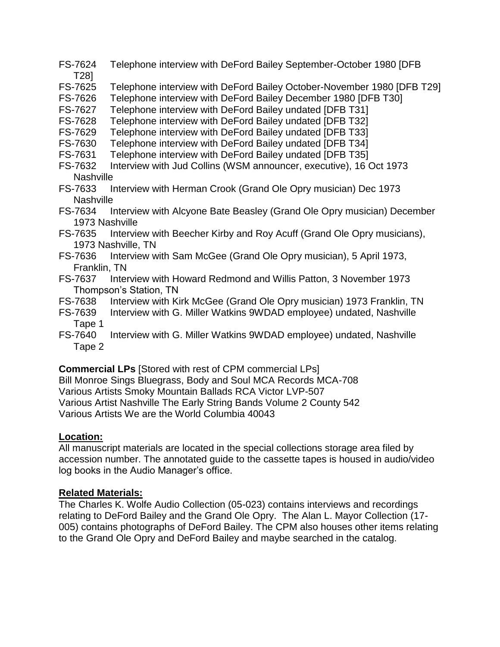- FS-7624 Telephone interview with DeFord Bailey September-October 1980 [DFB T28]
- FS-7625 Telephone interview with DeFord Bailey October-November 1980 [DFB T29]
- FS-7626 Telephone interview with DeFord Bailey December 1980 [DFB T30]
- FS-7627 Telephone interview with DeFord Bailey undated [DFB T31]
- FS-7628 Telephone interview with DeFord Bailey undated [DFB T32]
- FS-7629 Telephone interview with DeFord Bailey undated [DFB T33]
- FS-7630 Telephone interview with DeFord Bailey undated [DFB T34]
- FS-7631 Telephone interview with DeFord Bailey undated [DFB T35]
- FS-7632 Interview with Jud Collins (WSM announcer, executive), 16 Oct 1973 Nashville
- FS-7633 Interview with Herman Crook (Grand Ole Opry musician) Dec 1973 **Nashville**
- FS-7634 Interview with Alcyone Bate Beasley (Grand Ole Opry musician) December 1973 Nashville
- FS-7635 Interview with Beecher Kirby and Roy Acuff (Grand Ole Opry musicians), 1973 Nashville, TN
- FS-7636 Interview with Sam McGee (Grand Ole Opry musician), 5 April 1973, Franklin, TN
- FS-7637 Interview with Howard Redmond and Willis Patton, 3 November 1973 Thompson's Station, TN
- FS-7638 Interview with Kirk McGee (Grand Ole Opry musician) 1973 Franklin, TN
- FS-7639 Interview with G. Miller Watkins 9WDAD employee) undated, Nashville Tape 1
- FS-7640 Interview with G. Miller Watkins 9WDAD employee) undated, Nashville Tape 2

**Commercial LPs** [Stored with rest of CPM commercial LPs]

Bill Monroe Sings Bluegrass, Body and Soul MCA Records MCA-708 Various Artists Smoky Mountain Ballads RCA Victor LVP-507 Various Artist Nashville The Early String Bands Volume 2 County 542 Various Artists We are the World Columbia 40043

## **Location:**

All manuscript materials are located in the special collections storage area filed by accession number. The annotated guide to the cassette tapes is housed in audio/video log books in the Audio Manager's office.

## **Related Materials:**

The Charles K. Wolfe Audio Collection (05-023) contains interviews and recordings relating to DeFord Bailey and the Grand Ole Opry. The Alan L. Mayor Collection (17- 005) contains photographs of DeFord Bailey. The CPM also houses other items relating to the Grand Ole Opry and DeFord Bailey and maybe searched in the catalog.